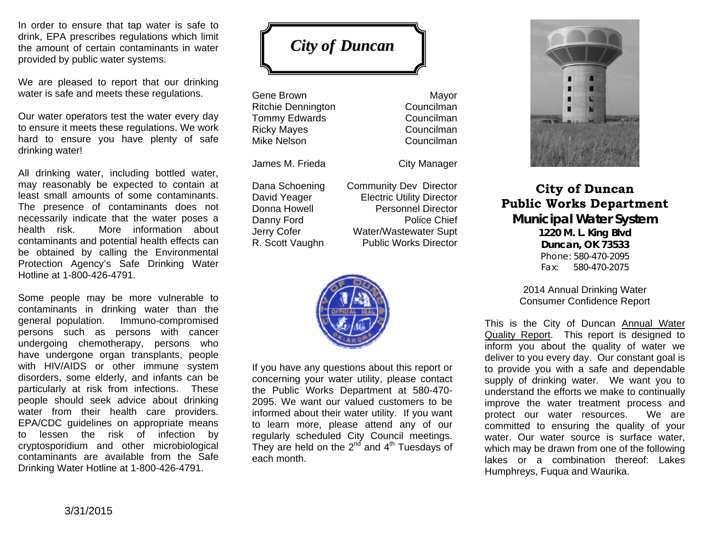In order to ensure that tap water is safe to drink, EPA prescribes regulations which limit the amount of certain contaminants in water provided by public water systems.

We are pleased to report that our drinking water is safe and meets these regulations.

Our water operators test the water every day to ensure it meets these regulations. We work hard to ensure you have plenty of safe drinking water!

All drinking water, including bottled water, may reasonably be expected to contain at least small amounts of some contaminants. The presence of contaminants does not necessarily indicate that the water poses a health risk. More information about contaminants and potential health effects can be obtained by calling the Environmental Protection Agency's Safe Drinking Water Hotline at 1-800-426-4791.

Some people may be more vulnerable to contaminants in drinking water than the general population. Immuno-compromised persons such as persons with cancer undergoing chemotherapy, persons who have undergone organ transplants, people with HIV/AIDS or other immune system disorders, some elderly, and infants can be particularly at risk from infections. These people should seek advice about drinking water from their health care providers. EPA/CDC guidelines on appropriate means to lessen the risk of infection by cryptosporidium and other microbiological contaminants are available from the Safe Drinking Water Hotline at 1-800-426-4791.

*City of Duncan* 

Gene Brown **Mayor** Ritchie Dennington Councilman Tommy Edwards **Councilman** Ricky Mayes **Councilman** Mike Nelson Councilman

R. Scott Vaughn Public Works Director

James M. Frieda City Manager Dana Schoening Community Dev Director David Yeager **Electric Utility Director** Donna Howell Personnel Director Danny Ford Police Chief Jerry Cofer **Water/Wastewater Supt** 



If you have any questions about this report or concerning your water utility, please contact the Public Works Department at 580-470- 2095. We want our valued customers to be informed about their water utility. If you want to learn more, please attend any of our regularly scheduled City Council meetings. They are held on the  $2^{nd}$  and  $4^{th}$  Tuesdays of each month.



**City of Duncan Public Works Department Municipal Water System 1220 M. L. King Blvd Duncan, OK 73533**  Phone: 580-470-2095 Fax: 580-470-2075

> 2014 Annual Drinking Water Consumer Confidence Report

This is the City of Duncan Annual Water Quality Report. This report is designed to inform you about the quality of water we deliver to you every day. Our constant goal is to provide you with a safe and dependable supply of drinking water. We want you to understand the efforts we make to continually improve the water treatment process and protect our water resources. We are committed to ensuring the quality of your water. Our water source is surface water. which may be drawn from one of the following lakes or a combination thereof: Lakes Humphreys, Fuqua and Waurika.